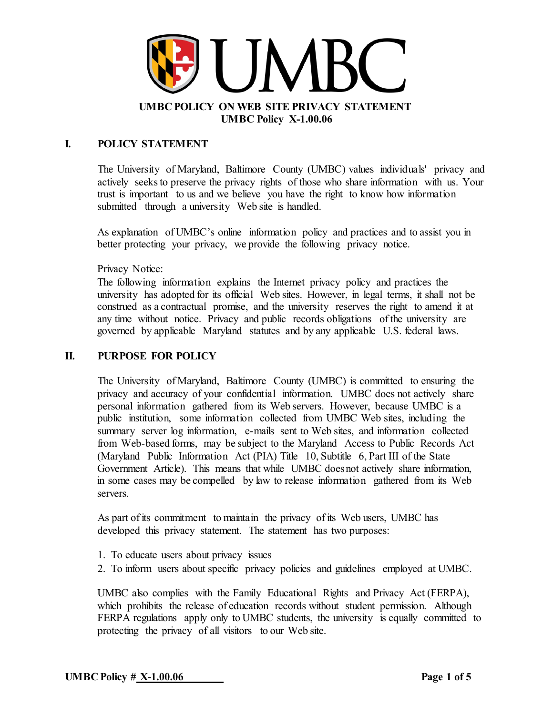

## **I. POLICY STATEMENT**

The University of Maryland, Baltimore County (UMBC) values individuals' privacy and actively seeks to preserve the privacy rights of those who share information with us. Your trust is important to us and we believe you have the right to know how information submitted through a university Web site is handled.

As explanation of UMBC's online information policy and practices and to assist you in better protecting your privacy, we provide the following privacy notice.

Privacy Notice:

The following information explains the Internet privacy policy and practices the university has adopted for its official Web sites. However, in legal terms, it shall not be construed as a contractual promise, and the university reserves the right to amend it at any time without notice. Privacy and public records obligations of the university are governed by applicable Maryland statutes and by any applicable U.S. federal laws.

#### **II. PURPOSE FOR POLICY**

The University of Maryland, Baltimore County (UMBC) is committed to ensuring the privacy and accuracy of your confidential information. UMBC does not actively share personal information gathered from its Web servers. However, because UMBC is a public institution, some information collected from UMBC Web sites, including the summary server log information, e-mails sent to Web sites, and information collected from Web-based forms, may be subject to the Maryland Access to Public Records Act (Maryland Public Information Act (PIA) Title 10, Subtitle 6, Part III of the State Government Article). This means that while UMBC doesnot actively share information, in some cases may be compelled by law to release information gathered from its Web servers.

As part of its commitment to maintain the privacy of its Web users, UMBC has developed this privacy statement. The statement has two purposes:

- 1. To educate users about privacy issues
- 2. To inform users about specific privacy policies and guidelines employed at UMBC.

UMBC also complies with the Family Educational Rights and Privacy Act (FERPA), which prohibits the release of education records without student permission. Although FERPA regulations apply only to UMBC students, the university is equally committed to protecting the privacy of all visitors to our Web site.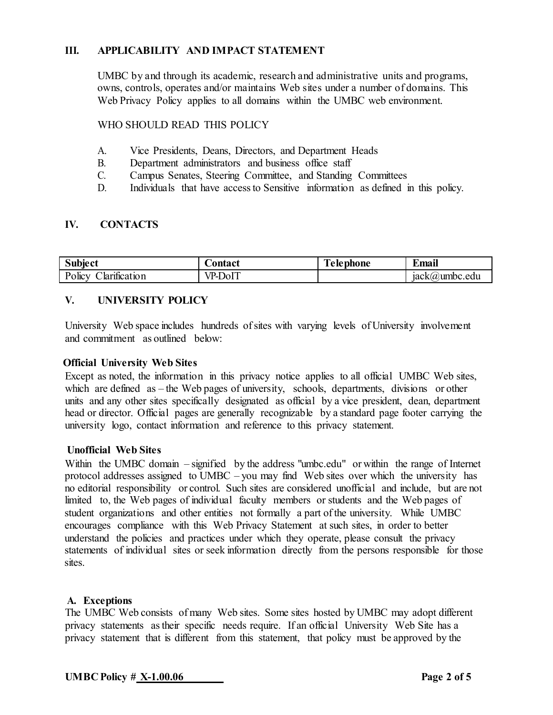## **III. APPLICABILITY AND IMPACT STATEMENT**

UMBC by and through its academic, research and administrative units and programs, owns, controls, operates and/or maintains Web sites under a number of domains. This Web Privacy Policy applies to all domains within the UMBC web environment.

WHO SHOULD READ THIS POLICY

- A. Vice Presidents, Deans, Directors, and Department Heads
- B. Department administrators and business office staff
- C. Campus Senates, Steering Committee, and Standing Committees
- D. Individuals that have access to Sensitive information as defined in this policy.

## **IV. CONTACTS**

| Subject                           | <b>Contact</b>                       | $\mathbf{r}$<br>Telephone | $\bullet$<br>$\overline{\phantom{a}}$<br>Email |
|-----------------------------------|--------------------------------------|---------------------------|------------------------------------------------|
| $\cdot$<br>Policy<br>Jarífication | TIT<br>$V_{\text{PL}}$<br>JΩI<br>,,, |                           | ack(a)<br>vumbc.edu                            |

## **V. UNIVERSITY POLICY**

University Web space includes hundreds of sites with varying levels of University involvement and commitment as outlined below:

## **Official University Web Sites**

Except as noted, the information in this privacy notice applies to all official UMBC Web sites, which are defined as – the Web pages of university, schools, departments, divisions or other units and any other sites specifically designated as official by a vice president, dean, department head or director. Official pages are generally recognizable by a standard page footer carrying the university logo, contact information and reference to this privacy statement.

## **Unofficial Web Sites**

Within the UMBC domain – signified by the address "umbc.edu" or within the range of Internet protocol addresses assigned to UMBC – you may find Web sites over which the university has no editorial responsibility or control. Such sites are considered unofficial and include, but are not limited to, the Web pages of individual faculty members or students and the Web pages of student organizations and other entities not formally a part of the university. While UMBC encourages compliance with this Web Privacy Statement at such sites, in order to better understand the policies and practices under which they operate, please consult the privacy statements of individual sites or seek information directly from the persons responsible for those sites.

## **A. Exceptions**

The UMBC Web consists of many Web sites. Some sites hosted by UMBC may adopt different privacy statements astheir specific needs require. If an official University Web Site has a privacy statement that is different from this statement, that policy must be approved by the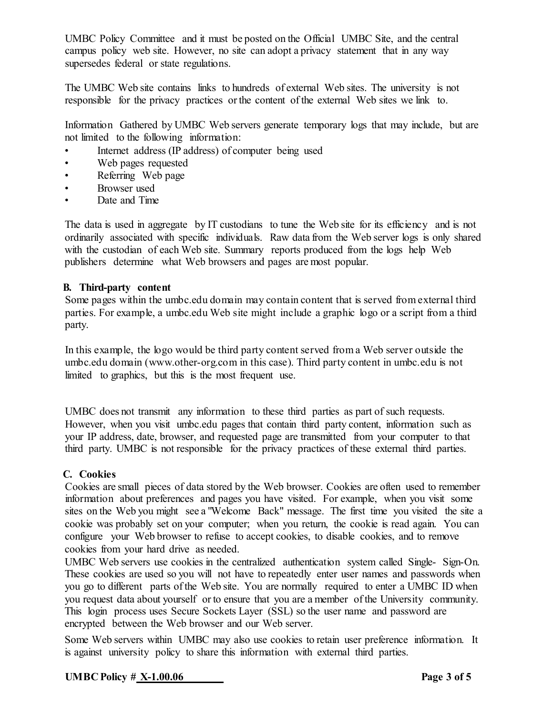UMBC Policy Committee and it must be posted on the Official UMBC Site, and the central campus policy web site. However, no site can adopt a privacy statement that in any way supersedes federal or state regulations.

The UMBC Web site contains links to hundreds of external Web sites. The university is not responsible for the privacy practices orthe content of the external Web sites we link to.

Information Gathered by UMBC Web servers generate temporary logs that may include, but are not limited to the following information:

- Internet address (IP address) of computer being used
- Web pages requested
- Referring Web page
- Browser used
- Date and Time

The data is used in aggregate by IT custodians to tune the Web site for its efficiency and is not ordinarily associated with specific individuals. Raw data from the Web server logs is only shared with the custodian of each Web site. Summary reports produced from the logs help Web publishers determine what Web browsers and pages are most popular.

#### **B. Third-party content**

Some pages within the umbc.edu domain may contain content that is served from external third parties. For example, a umbc.edu Web site might include a graphic logo or a script from a third party.

In this example, the logo would be third party content served from a Web server outside the umbc.edu domain [\(www.other-org.com](http://www.other-org.com/) in this case). Third party content in umbc.edu is not limited to graphics, but this is the most frequent use.

UMBC does not transmit any information to these third parties as part of such requests. However, when you visit umbc.edu pages that contain third party content, information such as your IP address, date, browser, and requested page are transmitted from your computer to that third party. UMBC is not responsible for the privacy practices of these external third parties.

## **C. Cookies**

Cookies are small pieces of data stored by the Web browser. Cookies are often used to remember information about preferences and pages you have visited. For example, when you visit some sites on the Web you might see a "Welcome Back" message. The first time you visited the site a cookie was probably set on your computer; when you return, the cookie is read again. You can configure your Web browser to refuse to accept cookies, to disable cookies, and to remove cookies from your hard drive as needed.

UMBC Web servers use cookies in the centralized authentication system called Single- Sign-On. These cookies are used so you will not have to repeatedly enter user names and passwords when you go to different parts of the Web site. You are normally required to enter a UMBC ID when you request data about yourself orto ensure that you are a member of the University community. This login process uses Secure Sockets Layer (SSL) so the user name and password are encrypted between the Web browser and our Web server.

Some Web servers within UMBC may also use cookies to retain user preference information. It is against university policy to share this information with external third parties.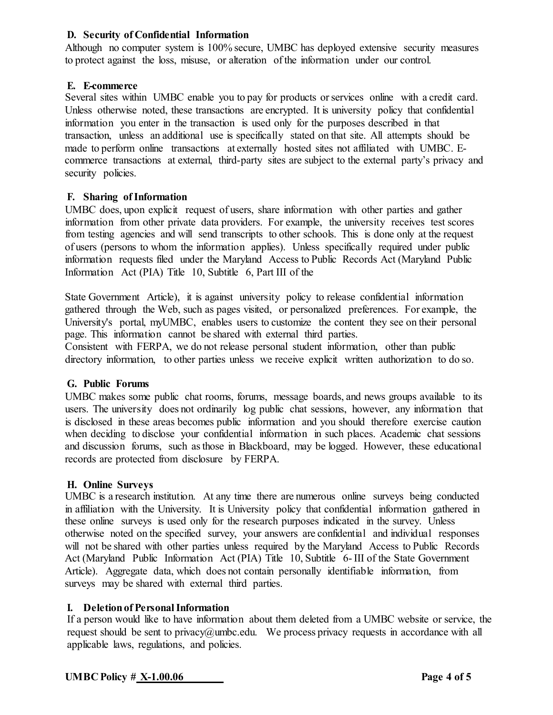## **D. Security of Confidential Information**

Although no computer system is 100% secure, UMBC has deployed extensive security measures to protect against the loss, misuse, or alteration of the information under our control.

## **E. E-commerce**

Several sites within UMBC enable you to pay for products orservices online with a credit card. Unless otherwise noted, these transactions are encrypted. It is university policy that confidential information you enter in the transaction is used only for the purposes described in that transaction, unless an additional use is specifically stated on that site. All attempts should be made to perform online transactions at externally hosted sites not affiliated with UMBC. Ecommerce transactions at external, third-party sites are subject to the external party's privacy and security policies.

## **F. Sharing ofInformation**

UMBC does, upon explicit request of users, share information with other parties and gather information from other private data providers. For example, the university receives test scores from testing agencies and will send transcripts to other schools. This is done only at the request of users (persons to whom the information applies). Unless specifically required under public information requests filed under the Maryland Access to Public Records Act (Maryland Public Information Act (PIA) Title 10, Subtitle 6, Part III of the

State Government Article), it is against university policy to release confidential information gathered through the Web, such as pages visited, or personalized preferences. For example, the University's portal, myUMBC, enables users to customize the content they see on their personal page. This information cannot be shared with external third parties.

Consistent with FERPA, we do not release personal student information, other than public directory information, to other parties unless we receive explicit written authorization to do so.

## **G. Public Forums**

UMBC makes some public chat rooms, forums, message boards, and news groups available to its users. The university does not ordinarily log public chat sessions, however, any information that is disclosed in these areas becomes public information and you should therefore exercise caution when deciding to disclose your confidential information in such places. Academic chat sessions and discussion forums, such asthose in Blackboard, may be logged. However, these educational records are protected from disclosure by FERPA.

## **H. Online Surveys**

UMBC is a research institution. At any time there are numerous online surveys being conducted in affiliation with the University. It is University policy that confidential information gathered in these online surveys is used only for the research purposes indicated in the survey. Unless otherwise noted on the specified survey, your answers are confidential and individual responses will not be shared with other parties unless required by the Maryland Access to Public Records Act (Maryland Public Information Act (PIA) Title 10, Subtitle 6- III of the State Government Article). Aggregate data, which does not contain personally identifiable information, from surveys may be shared with external third parties.

## **I. Deletion of Personal Information**

If a person would like to have information about them deleted from a UMBC website or service, the request should be sent to privacy $@$ umbc.edu. We process privacy requests in accordance with all applicable laws, regulations, and policies.